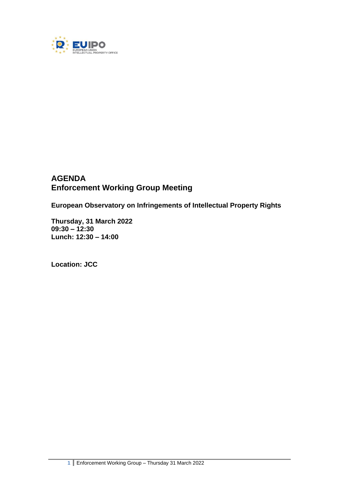

# **AGENDA Enforcement Working Group Meeting**

**European Observatory on Infringements of Intellectual Property Rights**

**Thursday, 31 March 2022 09:30 – 12:30 Lunch: 12:30 – 14:00**

**Location: JCC**